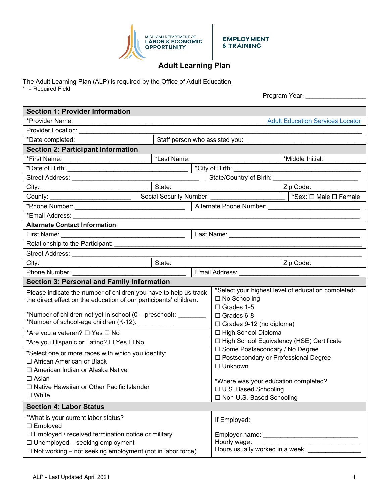

**EMPLOYMENT** & TRAINING

## **Adult Learning Plan**

The Adult Learning Plan (ALP) is required by the Office of Adult Education.

\* = Required Field

Program Year: \_\_\_\_\_\_\_\_\_\_\_\_\_\_\_\_\_

| <b>Section 1: Provider Information</b>                            |                                                 |  |                                                                                                             |                                                                                                                                                                                                                                                   |                                         |  |
|-------------------------------------------------------------------|-------------------------------------------------|--|-------------------------------------------------------------------------------------------------------------|---------------------------------------------------------------------------------------------------------------------------------------------------------------------------------------------------------------------------------------------------|-----------------------------------------|--|
|                                                                   |                                                 |  |                                                                                                             |                                                                                                                                                                                                                                                   | <b>Adult Education Services Locator</b> |  |
|                                                                   |                                                 |  |                                                                                                             |                                                                                                                                                                                                                                                   |                                         |  |
| *Date completed: ____________________                             |                                                 |  |                                                                                                             |                                                                                                                                                                                                                                                   |                                         |  |
| <b>Section 2: Participant Information</b>                         |                                                 |  |                                                                                                             |                                                                                                                                                                                                                                                   |                                         |  |
| *First Name: ___________________________                          | *Last Name:                                     |  |                                                                                                             |                                                                                                                                                                                                                                                   | *Middle Initial: ___________            |  |
|                                                                   |                                                 |  |                                                                                                             |                                                                                                                                                                                                                                                   |                                         |  |
|                                                                   |                                                 |  |                                                                                                             |                                                                                                                                                                                                                                                   |                                         |  |
|                                                                   |                                                 |  | Zip Code:                                                                                                   |                                                                                                                                                                                                                                                   |                                         |  |
|                                                                   |                                                 |  |                                                                                                             |                                                                                                                                                                                                                                                   | *Sex: □ Male □ Female                   |  |
|                                                                   |                                                 |  |                                                                                                             |                                                                                                                                                                                                                                                   |                                         |  |
|                                                                   |                                                 |  |                                                                                                             |                                                                                                                                                                                                                                                   |                                         |  |
| <b>Alternate Contact Information</b>                              | the contract of the contract of the contract of |  |                                                                                                             |                                                                                                                                                                                                                                                   |                                         |  |
| First Name:                                                       |                                                 |  |                                                                                                             |                                                                                                                                                                                                                                                   |                                         |  |
|                                                                   |                                                 |  |                                                                                                             |                                                                                                                                                                                                                                                   |                                         |  |
|                                                                   |                                                 |  |                                                                                                             |                                                                                                                                                                                                                                                   |                                         |  |
|                                                                   |                                                 |  |                                                                                                             | State: <u>Carl Code: Carl Code: Carl Code: Carl Code: Carl Code: Carl Code: Carl Code: Carl Code: Carl Code: Carl Code: Carl Code: Carl Code: Carl Code: Carl Code: Carl Code: Carl Code: Carl Code: Carl Code: Carl Code: Carl </u><br>Zip Code: |                                         |  |
| Phone Number: __________                                          |                                                 |  |                                                                                                             |                                                                                                                                                                                                                                                   |                                         |  |
| <b>Section 3: Personal and Family Information</b>                 |                                                 |  |                                                                                                             |                                                                                                                                                                                                                                                   |                                         |  |
| Please indicate the number of children you have to help us track  |                                                 |  | *Select your highest level of education completed:                                                          |                                                                                                                                                                                                                                                   |                                         |  |
| the direct effect on the education of our participants' children. |                                                 |  | $\Box$ No Schooling<br>$\Box$ Grades 1-5                                                                    |                                                                                                                                                                                                                                                   |                                         |  |
| *Number of children not yet in school (0 – preschool): _________  |                                                 |  | $\Box$ Grades 6-8                                                                                           |                                                                                                                                                                                                                                                   |                                         |  |
| *Number of school-age children (K-12): ___________                |                                                 |  | $\Box$ Grades 9-12 (no diploma)                                                                             |                                                                                                                                                                                                                                                   |                                         |  |
| *Are you a veteran? □ Yes □ No                                    |                                                 |  | □ High School Diploma                                                                                       |                                                                                                                                                                                                                                                   |                                         |  |
| *Are you Hispanic or Latino? □ Yes □ No                           |                                                 |  | □ High School Equivalency (HSE) Certificate<br>□ Some Postsecondary / No Degree                             |                                                                                                                                                                                                                                                   |                                         |  |
| *Select one or more races with which you identify:                |                                                 |  |                                                                                                             |                                                                                                                                                                                                                                                   |                                         |  |
| □ African American or Black                                       |                                                 |  | □ Postsecondary or Professional Degree                                                                      |                                                                                                                                                                                                                                                   |                                         |  |
| □ American Indian or Alaska Native                                |                                                 |  | $\Box$ Unknown                                                                                              |                                                                                                                                                                                                                                                   |                                         |  |
| $\Box$ Asian                                                      |                                                 |  | *Where was your education completed?                                                                        |                                                                                                                                                                                                                                                   |                                         |  |
| □ Native Hawaiian or Other Pacific Islander                       |                                                 |  | $\Box$ U.S. Based Schooling                                                                                 |                                                                                                                                                                                                                                                   |                                         |  |
| $\square$ White                                                   |                                                 |  | □ Non-U.S. Based Schooling                                                                                  |                                                                                                                                                                                                                                                   |                                         |  |
| <b>Section 4: Labor Status</b>                                    |                                                 |  |                                                                                                             |                                                                                                                                                                                                                                                   |                                         |  |
| *What is your current labor status?                               |                                                 |  | If Employed:                                                                                                |                                                                                                                                                                                                                                                   |                                         |  |
| $\Box$ Employed                                                   |                                                 |  |                                                                                                             |                                                                                                                                                                                                                                                   |                                         |  |
| □ Employed / received termination notice or military              |                                                 |  |                                                                                                             |                                                                                                                                                                                                                                                   |                                         |  |
| $\Box$ Unemployed – seeking employment                            |                                                 |  | Hourly wage:<br>Hourly wage: ________________________________<br>Hours usually worked in a week: __________ |                                                                                                                                                                                                                                                   |                                         |  |
| $\Box$ Not working – not seeking employment (not in labor force)  |                                                 |  |                                                                                                             |                                                                                                                                                                                                                                                   |                                         |  |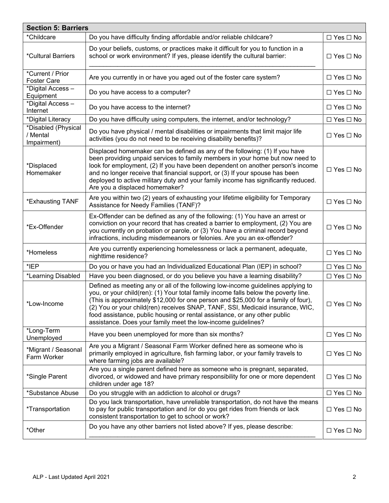| <b>Section 5: Barriers</b>                     |                                                                                                                                                                                                                                                                                                                                                                                                                                                                                             |                      |  |  |  |  |  |
|------------------------------------------------|---------------------------------------------------------------------------------------------------------------------------------------------------------------------------------------------------------------------------------------------------------------------------------------------------------------------------------------------------------------------------------------------------------------------------------------------------------------------------------------------|----------------------|--|--|--|--|--|
| *Childcare                                     | Do you have difficulty finding affordable and/or reliable childcare?                                                                                                                                                                                                                                                                                                                                                                                                                        | $\Box$ Yes $\Box$ No |  |  |  |  |  |
| *Cultural Barriers                             | Do your beliefs, customs, or practices make it difficult for you to function in a<br>school or work environment? If yes, please identify the cultural barrier:                                                                                                                                                                                                                                                                                                                              | $\Box$ Yes $\Box$ No |  |  |  |  |  |
| *Current / Prior<br>Foster Care                | Are you currently in or have you aged out of the foster care system?                                                                                                                                                                                                                                                                                                                                                                                                                        | $\Box$ Yes $\Box$ No |  |  |  |  |  |
| *Digital Access-<br>Equipment                  | Do you have access to a computer?                                                                                                                                                                                                                                                                                                                                                                                                                                                           | $\Box$ Yes $\Box$ No |  |  |  |  |  |
| *Digital Access-<br>Internet                   | Do you have access to the internet?                                                                                                                                                                                                                                                                                                                                                                                                                                                         | $\Box$ Yes $\Box$ No |  |  |  |  |  |
| *Digital Literacy                              | Do you have difficulty using computers, the internet, and/or technology?                                                                                                                                                                                                                                                                                                                                                                                                                    | $\Box$ Yes $\Box$ No |  |  |  |  |  |
| *Disabled (Physical<br>/ Mental<br>Impairment) | Do you have physical / mental disabilities or impairments that limit major life<br>activities (you do not need to be receiving disability benefits)?                                                                                                                                                                                                                                                                                                                                        | $\Box$ Yes $\Box$ No |  |  |  |  |  |
| *Displaced<br>Homemaker                        | Displaced homemaker can be defined as any of the following: (1) If you have<br>been providing unpaid services to family members in your home but now need to<br>look for employment, (2) If you have been dependent on another person's income<br>and no longer receive that financial support, or (3) If your spouse has been<br>deployed to active military duty and your family income has significantly reduced.<br>Are you a displaced homemaker?                                      | $\Box$ Yes $\Box$ No |  |  |  |  |  |
| *Exhausting TANF                               | Are you within two (2) years of exhausting your lifetime eligibility for Temporary<br>Assistance for Needy Families (TANF)?                                                                                                                                                                                                                                                                                                                                                                 | $\Box$ Yes $\Box$ No |  |  |  |  |  |
| *Ex-Offender                                   | Ex-Offender can be defined as any of the following: (1) You have an arrest or<br>conviction on your record that has created a barrier to employment, (2) You are<br>you currently on probation or parole, or (3) You have a criminal record beyond<br>infractions, including misdemeanors or felonies. Are you an ex-offender?                                                                                                                                                              | $\Box$ Yes $\Box$ No |  |  |  |  |  |
| *Homeless                                      | Are you currently experiencing homelessness or lack a permanent, adequate,<br>nighttime residence?                                                                                                                                                                                                                                                                                                                                                                                          | $\Box$ Yes $\Box$ No |  |  |  |  |  |
| *IEP                                           | Do you or have you had an Individualized Educational Plan (IEP) in school?                                                                                                                                                                                                                                                                                                                                                                                                                  | $\Box$ Yes $\Box$ No |  |  |  |  |  |
| *Learning Disabled                             | Have you been diagnosed, or do you believe you have a learning disability?                                                                                                                                                                                                                                                                                                                                                                                                                  | $\Box$ Yes $\Box$ No |  |  |  |  |  |
| *Low-Income                                    | Defined as meeting any or all of the following low-income guidelines applying to<br>you, or your child(ren): (1) Your total family income falls below the poverty line.<br>(This is approximately \$12,000 for one person and \$25,000 for a family of four),<br>(2) You or your child(ren) receives SNAP, TANF, SSI, Medicaid insurance, WIC,<br>food assistance, public housing or rental assistance, or any other public<br>assistance. Does your family meet the low-income guidelines? | $\Box$ Yes $\Box$ No |  |  |  |  |  |
| *Long-Term<br>Unemployed                       | Have you been unemployed for more than six months?                                                                                                                                                                                                                                                                                                                                                                                                                                          | $\Box$ Yes $\Box$ No |  |  |  |  |  |
| *Migrant / Seasonal<br>Farm Worker             | Are you a Migrant / Seasonal Farm Worker defined here as someone who is<br>primarily employed in agriculture, fish farming labor, or your family travels to<br>where farming jobs are available?                                                                                                                                                                                                                                                                                            | $\Box$ Yes $\Box$ No |  |  |  |  |  |
| *Single Parent                                 | Are you a single parent defined here as someone who is pregnant, separated,<br>divorced, or widowed and have primary responsibility for one or more dependent<br>children under age 18?                                                                                                                                                                                                                                                                                                     | $\Box$ Yes $\Box$ No |  |  |  |  |  |
| *Substance Abuse                               | Do you struggle with an addiction to alcohol or drugs?                                                                                                                                                                                                                                                                                                                                                                                                                                      | $\Box$ Yes $\Box$ No |  |  |  |  |  |
| <i>*</i> Transportation                        | Do you lack transportation, have unreliable transportation, do not have the means<br>to pay for public transportation and /or do you get rides from friends or lack<br>consistent transportation to get to school or work?                                                                                                                                                                                                                                                                  | $\Box$ Yes $\Box$ No |  |  |  |  |  |
| *Other                                         | Do you have any other barriers not listed above? If yes, please describe:                                                                                                                                                                                                                                                                                                                                                                                                                   | $\Box$ Yes $\Box$ No |  |  |  |  |  |